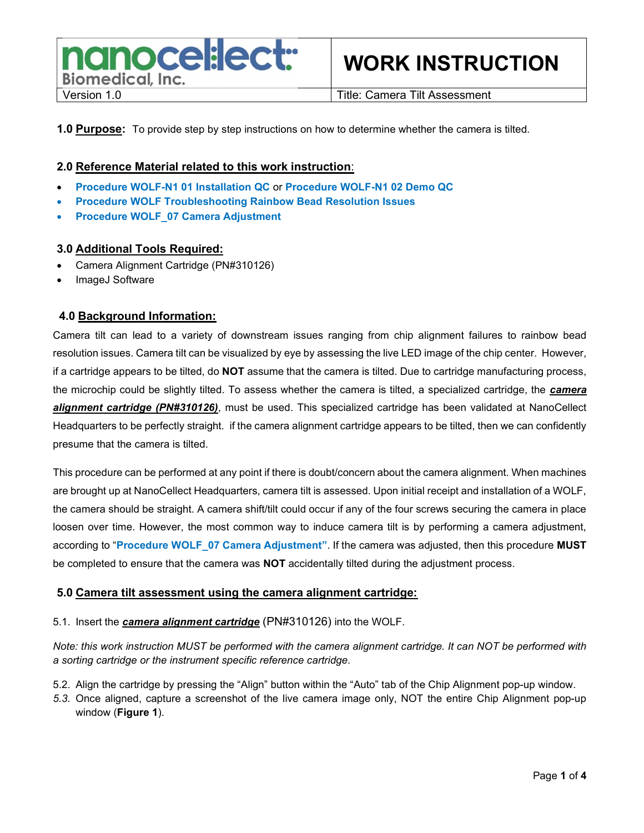

**1.0 Purpose:** To provide step by step instructions on how to determine whether the camera is tilted.

### 2.0 Reference Material related to this work instruction:

- Procedure WOLF-N1 01 Installation QC or Procedure WOLF-N1 02 Demo QC
- Procedure WOLF Troubleshooting Rainbow Bead Resolution Issues
- Procedure WOLF\_07 Camera Adjustment

#### 3.0 Additional Tools Required:

- Camera Alignment Cartridge (PN#310126)
- ImageJ Software

### 4.0 Background Information:

Camera tilt can lead to a variety of downstream issues ranging from chip alignment failures to rainbow bead resolution issues. Camera tilt can be visualized by eye by assessing the live LED image of the chip center. However, if a cartridge appears to be tilted, do NOT assume that the camera is tilted. Due to cartridge manufacturing process, the microchip could be slightly tilted. To assess whether the camera is tilted, a specialized cartridge, the camera alignment cartridge (PN#310126), must be used. This specialized cartridge has been validated at NanoCellect Headquarters to be perfectly straight. if the camera alignment cartridge appears to be tilted, then we can confidently presume that the camera is tilted.

This procedure can be performed at any point if there is doubt/concern about the camera alignment. When machines are brought up at NanoCellect Headquarters, camera tilt is assessed. Upon initial receipt and installation of a WOLF, the camera should be straight. A camera shift/tilt could occur if any of the four screws securing the camera in place loosen over time. However, the most common way to induce camera tilt is by performing a camera adjustment, according to "Procedure WOLF 07 Camera Adjustment". If the camera was adjusted, then this procedure MUST be completed to ensure that the camera was NOT accidentally tilted during the adjustment process.

#### 5.0 Camera tilt assessment using the camera alignment cartridge:

#### 5.1. Insert the **camera alignment cartridge** (PN#310126) into the WOLF.

Note: this work instruction MUST be performed with the camera alignment cartridge. It can NOT be performed with a sorting cartridge or the instrument specific reference cartridge.

- 5.2. Align the cartridge by pressing the "Align" button within the "Auto" tab of the Chip Alignment pop-up window.
- 5.3. Once aligned, capture a screenshot of the live camera image only, NOT the entire Chip Alignment pop-up window (Figure 1).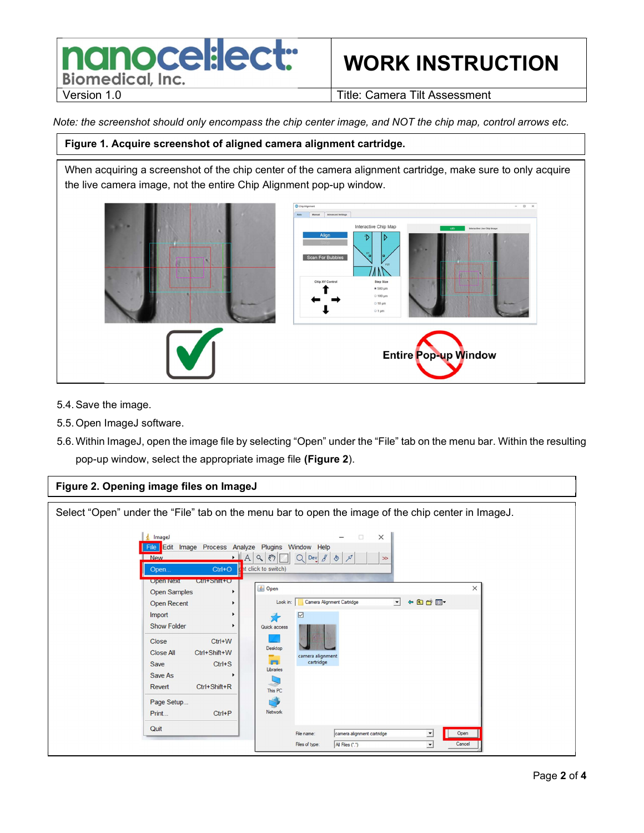### nanocel:lect: **Biomedical, Inc.**

## WORK INSTRUCTION

Version 1.0 **Title: Camera Tilt Assessment** 

Note: the screenshot should only encompass the chip center image, and NOT the chip map, control arrows etc.

### Figure 1. Acquire screenshot of aligned camera alignment cartridge.

When acquiring a screenshot of the chip center of the camera alignment cartridge, make sure to only acquire the live camera image, not the entire Chip Alignment pop-up window.



- 5.4. Save the image.
- 5.5. Open ImageJ software.
- 5.6. Within ImageJ, open the image file by selecting "Open" under the "File" tab on the menu bar. Within the resulting pop-up window, select the appropriate image file (Figure 2).

### Figure 2. Opening image files on ImageJ

Select "Open" under the "File" tab on the menu bar to open the image of the chip center in ImageJ. Image  $\times$ File Edit Image Process Analyze Plugins Window Help  $\mathsf{A} \setminus \mathsf{A}$   $\mathsf{B}$   $\mathsf{C}$   $\mathsf{D}$   $\mathsf{C}$   $\mathsf{D}$   $\mathsf{B}$   $\mathsf{B}$ Ne it click to switch) Open  $Ctrl + O$ **Open Next CITI+SNIT+O 图 Open** Open Samples Look in: Camera Alignment Cartridge V FOCE Open Recent  $\ddot{\phantom{1}}$ ¥ Import  $\nabla$ 矛 **Show Folder** Quick acces Close  $Ctrl+W$ Desktop Ctrl+Shift+W **Close All** camera alignment<br>cartridge es. Save  $Ctrl + S$ Libraries Save As  $\Box$ Revert Ctrl+Shift+R This PC Page Setup... r S Network Print...  $Ctrl + P$ Quit File name camera alignment cartridge ⊡ Open Files of type All Files (\*.\*)  $\overline{\phantom{0}}$ Cancel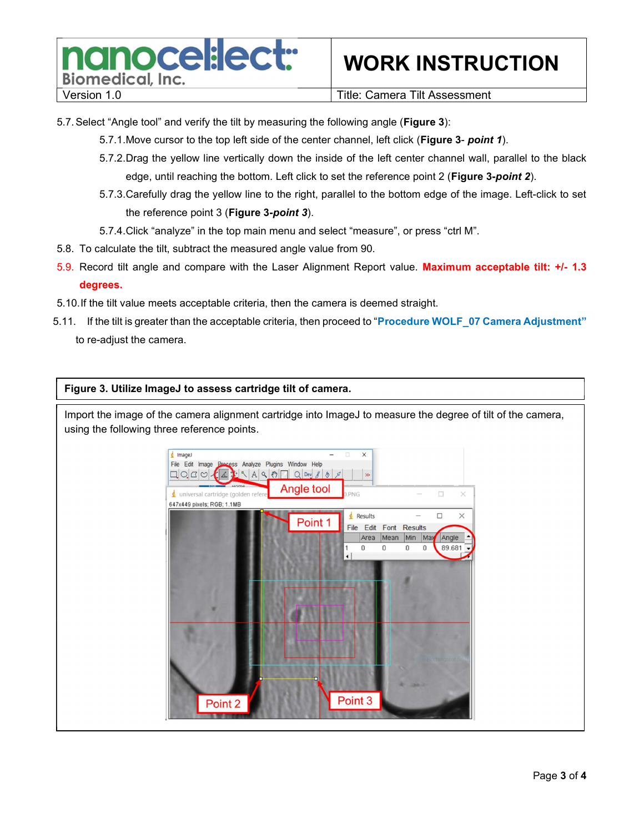

### WORK INSTRUCTION

Version 1.0 **Title: Camera Tilt Assessment** 

- 5.7. Select "Angle tool" and verify the tilt by measuring the following angle (Figure 3):
	- 5.7.1. Move cursor to the top left side of the center channel, left click (Figure 3- point 1).
	- 5.7.2. Drag the yellow line vertically down the inside of the left center channel wall, parallel to the black edge, until reaching the bottom. Left click to set the reference point 2 (Figure 3-point 2).
	- 5.7.3. Carefully drag the yellow line to the right, parallel to the bottom edge of the image. Left-click to set the reference point 3 (Figure 3-point 3).
	- 5.7.4. Click "analyze" in the top main menu and select "measure", or press "ctrl M".
- 5.8. To calculate the tilt, subtract the measured angle value from 90.
- 5.9. Record tilt angle and compare with the Laser Alignment Report value. Maximum acceptable tilt: +/- 1.3 degrees.
- 5.10. If the tilt value meets acceptable criteria, then the camera is deemed straight.
- 5.11. If the tilt is greater than the acceptable criteria, then proceed to "Procedure WOLF 07 Camera Adjustment" to re-adjust the camera.

Figure 3. Utilize ImageJ to assess cartridge tilt of camera.

Import the image of the camera alignment cartridge into ImageJ to measure the degree of tilt of the camera, using the following three reference points.